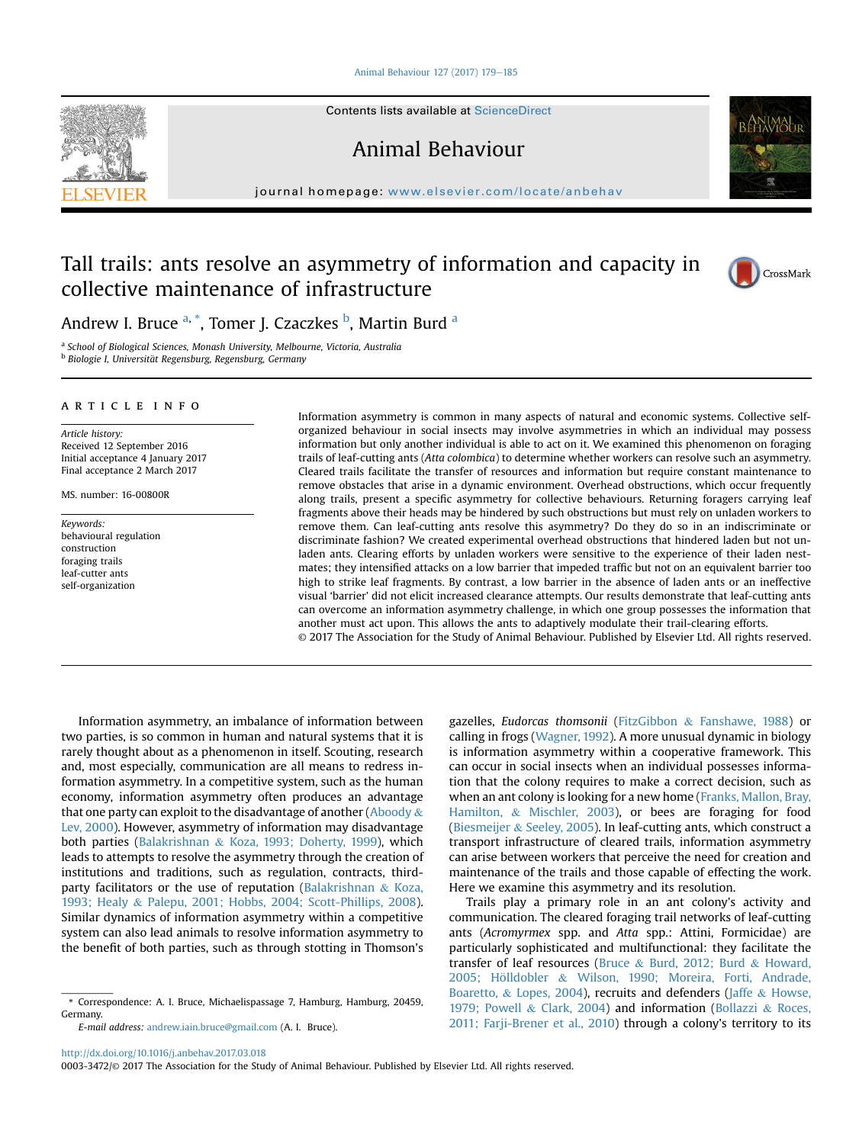## [Animal Behaviour 127 \(2017\) 179](http://dx.doi.org/10.1016/j.anbehav.2017.03.018)-[185](http://dx.doi.org/10.1016/j.anbehav.2017.03.018)

Contents lists available at ScienceDirect

Animal Behaviour

journal homepage: [www.elsevier.com/locate/anbehav](http://www.elsevier.com/locate/anbehav)

# Tall trails: ants resolve an asymmetry of information and capacity in collective maintenance of infrastructure



Andrew I. Bruce <sup>a, \*</sup>, Tomer J. Czaczkes <sup>b</sup>, Martin Burd <sup>a</sup>

<sup>a</sup> School of Biological Sciences, Monash University, Melbourne, Victoria, Australia <sup>b</sup> Biologie I, Universität Regensburg, Regensburg, Germany

### article info

Article history: Received 12 September 2016 Initial acceptance 4 January 2017 Final acceptance 2 March 2017

MS. number: 16-00800R

Keywords: behavioural regulation construction foraging trails leaf-cutter ants self-organization

Information asymmetry is common in many aspects of natural and economic systems. Collective selforganized behaviour in social insects may involve asymmetries in which an individual may possess information but only another individual is able to act on it. We examined this phenomenon on foraging trails of leaf-cutting ants (Atta colombica) to determine whether workers can resolve such an asymmetry. Cleared trails facilitate the transfer of resources and information but require constant maintenance to remove obstacles that arise in a dynamic environment. Overhead obstructions, which occur frequently along trails, present a specific asymmetry for collective behaviours. Returning foragers carrying leaf fragments above their heads may be hindered by such obstructions but must rely on unladen workers to remove them. Can leaf-cutting ants resolve this asymmetry? Do they do so in an indiscriminate or discriminate fashion? We created experimental overhead obstructions that hindered laden but not unladen ants. Clearing efforts by unladen workers were sensitive to the experience of their laden nestmates; they intensified attacks on a low barrier that impeded traffic but not on an equivalent barrier too high to strike leaf fragments. By contrast, a low barrier in the absence of laden ants or an ineffective visual 'barrier' did not elicit increased clearance attempts. Our results demonstrate that leaf-cutting ants can overcome an information asymmetry challenge, in which one group possesses the information that another must act upon. This allows the ants to adaptively modulate their trail-clearing efforts.

© 2017 The Association for the Study of Animal Behaviour. Published by Elsevier Ltd. All rights reserved.

Information asymmetry, an imbalance of information between two parties, is so common in human and natural systems that it is rarely thought about as a phenomenon in itself. Scouting, research and, most especially, communication are all means to redress information asymmetry. In a competitive system, such as the human economy, information asymmetry often produces an advantage that one party can exploit to the disadvantage of another ([Aboody](#page-5-0)  $\&$ [Lev, 2000\)](#page-5-0). However, asymmetry of information may disadvantage both parties [\(Balakrishnan](#page-5-0) & [Koza, 1993; Doherty, 1999](#page-5-0)), which leads to attempts to resolve the asymmetry through the creation of institutions and traditions, such as regulation, contracts, third-party facilitators or the use of reputation ([Balakrishnan](#page-5-0)  $\&$  [Koza,](#page-5-0) [1993; Healy](#page-5-0) & [Palepu, 2001; Hobbs, 2004; Scott-Phillips, 2008\)](#page-5-0). Similar dynamics of information asymmetry within a competitive system can also lead animals to resolve information asymmetry to the benefit of both parties, such as through stotting in Thomson's

E-mail address: [andrew.iain.bruce@gmail.com](mailto:andrew.iain.bruce@gmail.com) (A. I. Bruce).

gazelles, Eudorcas thomsonii ([FitzGibbon](#page-5-0) & [Fanshawe, 1988\)](#page-5-0) or calling in frogs ([Wagner, 1992\)](#page-5-0). A more unusual dynamic in biology is information asymmetry within a cooperative framework. This can occur in social insects when an individual possesses information that the colony requires to make a correct decision, such as when an ant colony is looking for a new home ([Franks, Mallon, Bray,](#page-5-0) [Hamilton,](#page-5-0) & [Mischler, 2003](#page-5-0)), or bees are foraging for food ([Biesmeijer](#page-5-0) & [Seeley, 2005](#page-5-0)). In leaf-cutting ants, which construct a transport infrastructure of cleared trails, information asymmetry can arise between workers that perceive the need for creation and maintenance of the trails and those capable of effecting the work. Here we examine this asymmetry and its resolution.

Trails play a primary role in an ant colony's activity and communication. The cleared foraging trail networks of leaf-cutting ants (Acromyrmex spp. and Atta spp.: Attini, Formicidae) are particularly sophisticated and multifunctional: they facilitate the transfer of leaf resources [\(Bruce](#page-5-0) & [Burd, 2012; Burd](#page-5-0) & [Howard,](#page-5-0) 2005; Hölldobler & [Wilson, 1990; Moreira, Forti, Andrade,](#page-5-0) [Boaretto,](#page-5-0) & [Lopes, 2004](#page-5-0)), recruits and defenders ([Jaffe](#page-5-0) & [Howse,](#page-5-0) [1979; Powell](#page-5-0) & [Clark, 2004\)](#page-5-0) and information [\(Bollazzi](#page-5-0) & [Roces,](#page-5-0) [2011; Farji-Brener et al., 2010](#page-5-0)) through a colony's territory to its



<sup>\*</sup> Correspondence: A. I. Bruce, Michaelispassage 7, Hamburg, Hamburg, 20459, Germany.

<http://dx.doi.org/10.1016/j.anbehav.2017.03.018>

<sup>0003-3472/</sup>© 2017 The Association for the Study of Animal Behaviour. Published by Elsevier Ltd. All rights reserved.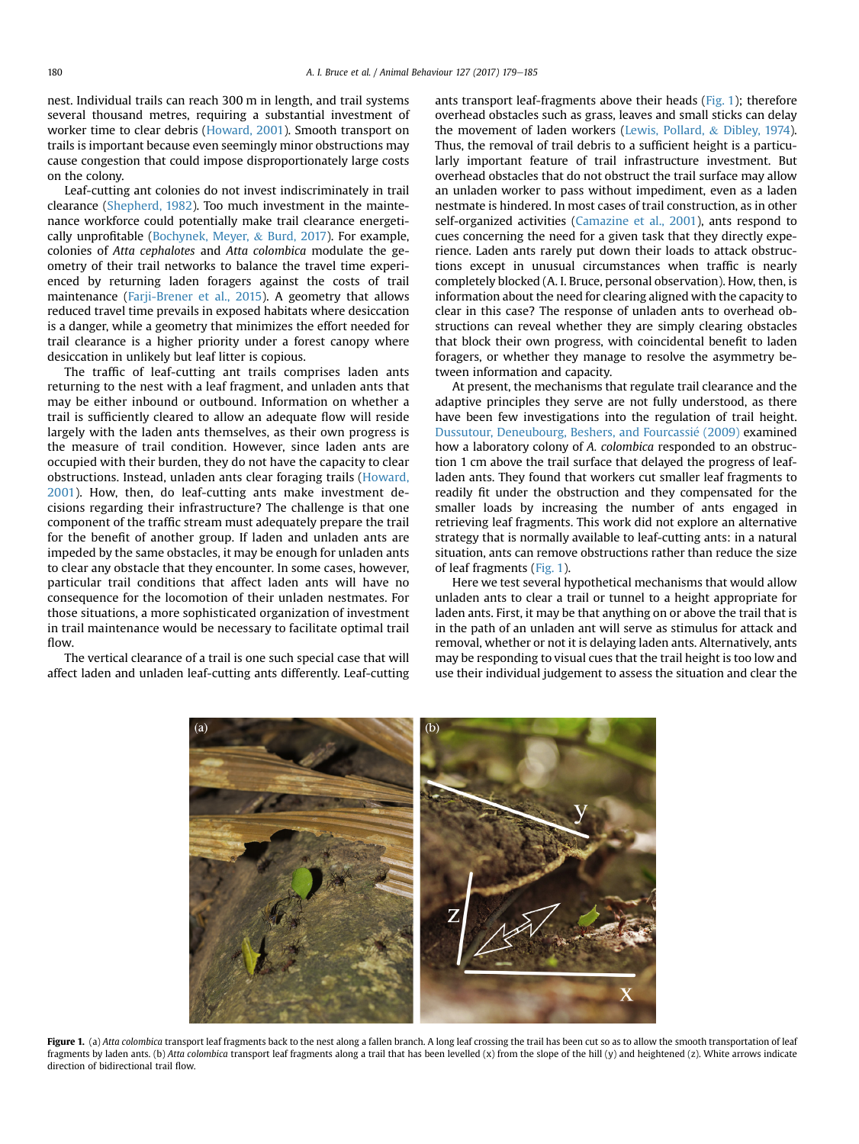<span id="page-1-0"></span>nest. Individual trails can reach 300 m in length, and trail systems several thousand metres, requiring a substantial investment of worker time to clear debris [\(Howard, 2001\)](#page-5-0). Smooth transport on trails is important because even seemingly minor obstructions may cause congestion that could impose disproportionately large costs on the colony.

Leaf-cutting ant colonies do not invest indiscriminately in trail clearance [\(Shepherd, 1982](#page-5-0)). Too much investment in the maintenance workforce could potentially make trail clearance energetically unprofitable ([Bochynek, Meyer,](#page-5-0) & [Burd, 2017\)](#page-5-0). For example, colonies of Atta cephalotes and Atta colombica modulate the geometry of their trail networks to balance the travel time experienced by returning laden foragers against the costs of trail maintenance ([Farji-Brener et al., 2015\)](#page-5-0). A geometry that allows reduced travel time prevails in exposed habitats where desiccation is a danger, while a geometry that minimizes the effort needed for trail clearance is a higher priority under a forest canopy where desiccation in unlikely but leaf litter is copious.

The traffic of leaf-cutting ant trails comprises laden ants returning to the nest with a leaf fragment, and unladen ants that may be either inbound or outbound. Information on whether a trail is sufficiently cleared to allow an adequate flow will reside largely with the laden ants themselves, as their own progress is the measure of trail condition. However, since laden ants are occupied with their burden, they do not have the capacity to clear obstructions. Instead, unladen ants clear foraging trails [\(Howard,](#page-5-0) [2001](#page-5-0)). How, then, do leaf-cutting ants make investment decisions regarding their infrastructure? The challenge is that one component of the traffic stream must adequately prepare the trail for the benefit of another group. If laden and unladen ants are impeded by the same obstacles, it may be enough for unladen ants to clear any obstacle that they encounter. In some cases, however, particular trail conditions that affect laden ants will have no consequence for the locomotion of their unladen nestmates. For those situations, a more sophisticated organization of investment in trail maintenance would be necessary to facilitate optimal trail flow.

The vertical clearance of a trail is one such special case that will affect laden and unladen leaf-cutting ants differently. Leaf-cutting ants transport leaf-fragments above their heads (Fig. 1); therefore overhead obstacles such as grass, leaves and small sticks can delay the movement of laden workers ([Lewis, Pollard,](#page-5-0) & [Dibley, 1974\)](#page-5-0). Thus, the removal of trail debris to a sufficient height is a particularly important feature of trail infrastructure investment. But overhead obstacles that do not obstruct the trail surface may allow an unladen worker to pass without impediment, even as a laden nestmate is hindered. In most cases of trail construction, as in other self-organized activities [\(Camazine et al., 2001](#page-5-0)), ants respond to cues concerning the need for a given task that they directly experience. Laden ants rarely put down their loads to attack obstructions except in unusual circumstances when traffic is nearly completely blocked (A. I. Bruce, personal observation). How, then, is information about the need for clearing aligned with the capacity to clear in this case? The response of unladen ants to overhead obstructions can reveal whether they are simply clearing obstacles that block their own progress, with coincidental benefit to laden foragers, or whether they manage to resolve the asymmetry between information and capacity.

At present, the mechanisms that regulate trail clearance and the adaptive principles they serve are not fully understood, as there have been few investigations into the regulation of trail height. Dussutour, Deneubourg, Beshers, and Fourcassié (2009) examined how a laboratory colony of A. colombica responded to an obstruction 1 cm above the trail surface that delayed the progress of leafladen ants. They found that workers cut smaller leaf fragments to readily fit under the obstruction and they compensated for the smaller loads by increasing the number of ants engaged in retrieving leaf fragments. This work did not explore an alternative strategy that is normally available to leaf-cutting ants: in a natural situation, ants can remove obstructions rather than reduce the size of leaf fragments (Fig. 1).

Here we test several hypothetical mechanisms that would allow unladen ants to clear a trail or tunnel to a height appropriate for laden ants. First, it may be that anything on or above the trail that is in the path of an unladen ant will serve as stimulus for attack and removal, whether or not it is delaying laden ants. Alternatively, ants may be responding to visual cues that the trail height is too low and use their individual judgement to assess the situation and clear the



Figure 1. (a) Atta colombica transport leaf fragments back to the nest along a fallen branch. A long leaf crossing the trail has been cut so as to allow the smooth transportation of leaf fragments by laden ants. (b) Atta colombica transport leaf fragments along a trail that has been levelled (x) from the slope of the hill (y) and heightened (z). White arrows indicate direction of bidirectional trail flow.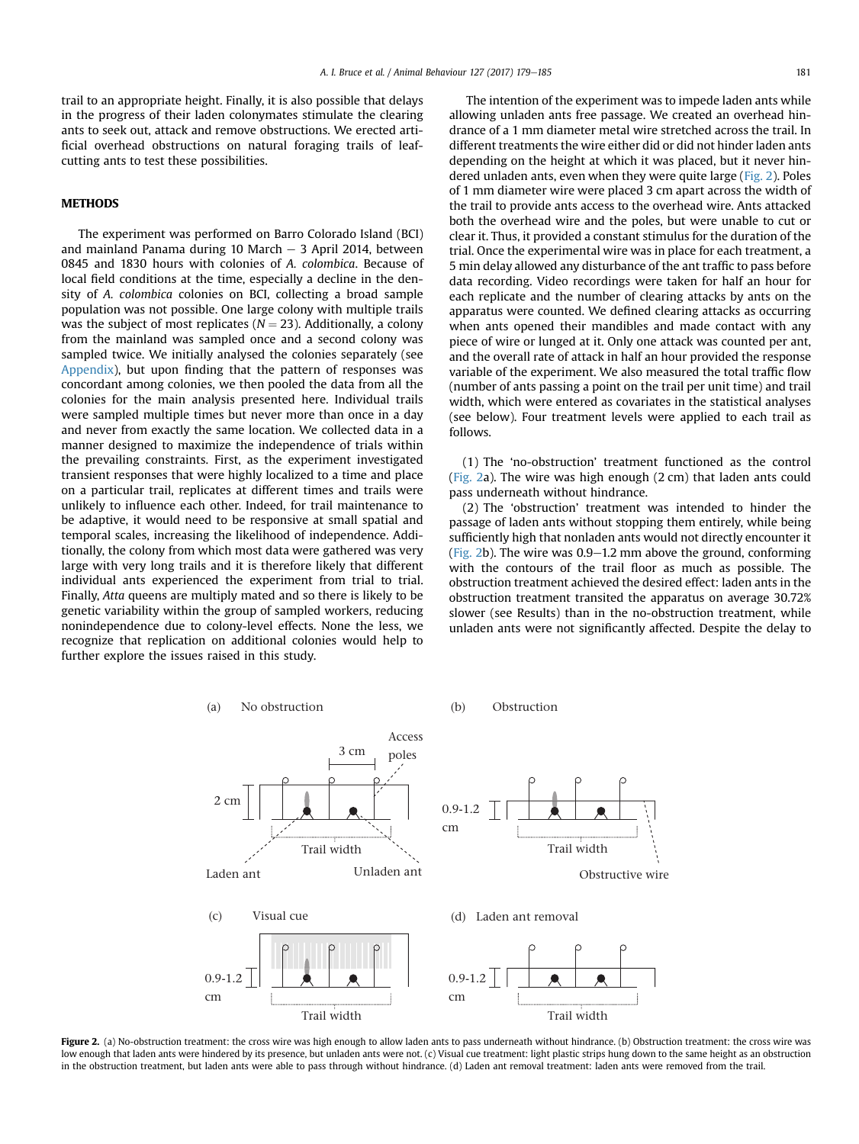<span id="page-2-0"></span>trail to an appropriate height. Finally, it is also possible that delays in the progress of their laden colonymates stimulate the clearing ants to seek out, attack and remove obstructions. We erected artificial overhead obstructions on natural foraging trails of leafcutting ants to test these possibilities.

# **METHODS**

The experiment was performed on Barro Colorado Island (BCI) and mainland Panama during 10 March  $-$  3 April 2014, between 0845 and 1830 hours with colonies of A. colombica. Because of local field conditions at the time, especially a decline in the density of A. colombica colonies on BCI, collecting a broad sample population was not possible. One large colony with multiple trails was the subject of most replicates ( $N = 23$ ). Additionally, a colony from the mainland was sampled once and a second colony was sampled twice. We initially analysed the colonies separately (see [Appendix\)](#page-5-0), but upon finding that the pattern of responses was concordant among colonies, we then pooled the data from all the colonies for the main analysis presented here. Individual trails were sampled multiple times but never more than once in a day and never from exactly the same location. We collected data in a manner designed to maximize the independence of trials within the prevailing constraints. First, as the experiment investigated transient responses that were highly localized to a time and place on a particular trail, replicates at different times and trails were unlikely to influence each other. Indeed, for trail maintenance to be adaptive, it would need to be responsive at small spatial and temporal scales, increasing the likelihood of independence. Additionally, the colony from which most data were gathered was very large with very long trails and it is therefore likely that different individual ants experienced the experiment from trial to trial. Finally, Atta queens are multiply mated and so there is likely to be genetic variability within the group of sampled workers, reducing nonindependence due to colony-level effects. None the less, we recognize that replication on additional colonies would help to further explore the issues raised in this study.

The intention of the experiment was to impede laden ants while allowing unladen ants free passage. We created an overhead hindrance of a 1 mm diameter metal wire stretched across the trail. In different treatments the wire either did or did not hinder laden ants depending on the height at which it was placed, but it never hindered unladen ants, even when they were quite large (Fig. 2). Poles of 1 mm diameter wire were placed 3 cm apart across the width of the trail to provide ants access to the overhead wire. Ants attacked both the overhead wire and the poles, but were unable to cut or clear it. Thus, it provided a constant stimulus for the duration of the trial. Once the experimental wire was in place for each treatment, a 5 min delay allowed any disturbance of the ant traffic to pass before data recording. Video recordings were taken for half an hour for each replicate and the number of clearing attacks by ants on the apparatus were counted. We defined clearing attacks as occurring when ants opened their mandibles and made contact with any piece of wire or lunged at it. Only one attack was counted per ant, and the overall rate of attack in half an hour provided the response variable of the experiment. We also measured the total traffic flow (number of ants passing a point on the trail per unit time) and trail width, which were entered as covariates in the statistical analyses (see below). Four treatment levels were applied to each trail as follows.

(1) The 'no-obstruction' treatment functioned as the control (Fig. 2a). The wire was high enough (2 cm) that laden ants could pass underneath without hindrance.

(2) The 'obstruction' treatment was intended to hinder the passage of laden ants without stopping them entirely, while being sufficiently high that nonladen ants would not directly encounter it (Fig. 2b). The wire was  $0.9-1.2$  mm above the ground, conforming with the contours of the trail floor as much as possible. The obstruction treatment achieved the desired effect: laden ants in the obstruction treatment transited the apparatus on average 30.72% slower (see Results) than in the no-obstruction treatment, while unladen ants were not significantly affected. Despite the delay to



Figure 2. (a) No-obstruction treatment: the cross wire was high enough to allow laden ants to pass underneath without hindrance. (b) Obstruction treatment: the cross wire was low enough that laden ants were hindered by its presence, but unladen ants were not. (c) Visual cue treatment: light plastic strips hung down to the same height as an obstruction in the obstruction treatment, but laden ants were able to pass through without hindrance. (d) Laden ant removal treatment: laden ants were removed from the trail.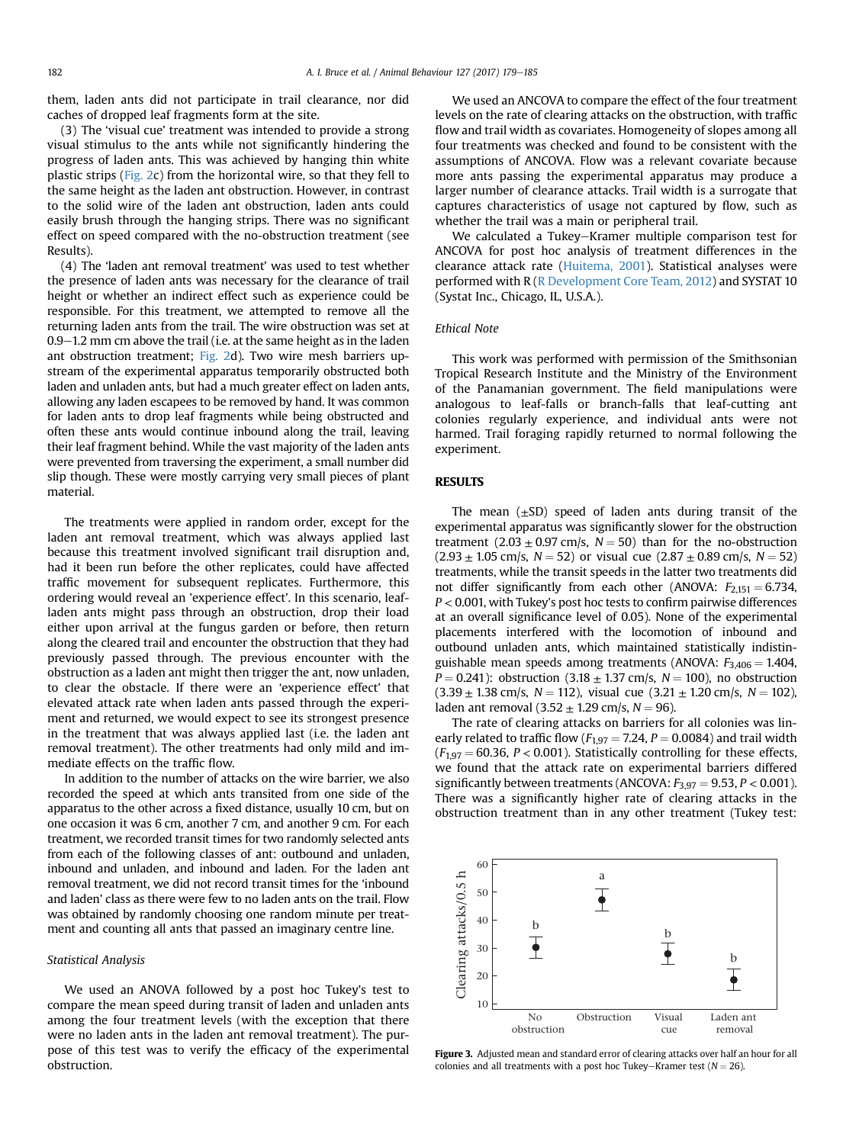<span id="page-3-0"></span>them, laden ants did not participate in trail clearance, nor did caches of dropped leaf fragments form at the site.

(3) The 'visual cue' treatment was intended to provide a strong visual stimulus to the ants while not significantly hindering the progress of laden ants. This was achieved by hanging thin white plastic strips [\(Fig. 2](#page-2-0)c) from the horizontal wire, so that they fell to the same height as the laden ant obstruction. However, in contrast to the solid wire of the laden ant obstruction, laden ants could easily brush through the hanging strips. There was no significant effect on speed compared with the no-obstruction treatment (see Results).

(4) The 'laden ant removal treatment' was used to test whether the presence of laden ants was necessary for the clearance of trail height or whether an indirect effect such as experience could be responsible. For this treatment, we attempted to remove all the returning laden ants from the trail. The wire obstruction was set at  $0.9-1.2$  mm cm above the trail (i.e. at the same height as in the laden ant obstruction treatment; [Fig. 2d](#page-2-0)). Two wire mesh barriers upstream of the experimental apparatus temporarily obstructed both laden and unladen ants, but had a much greater effect on laden ants, allowing any laden escapees to be removed by hand. It was common for laden ants to drop leaf fragments while being obstructed and often these ants would continue inbound along the trail, leaving their leaf fragment behind. While the vast majority of the laden ants were prevented from traversing the experiment, a small number did slip though. These were mostly carrying very small pieces of plant material.

The treatments were applied in random order, except for the laden ant removal treatment, which was always applied last because this treatment involved significant trail disruption and, had it been run before the other replicates, could have affected traffic movement for subsequent replicates. Furthermore, this ordering would reveal an 'experience effect'. In this scenario, leafladen ants might pass through an obstruction, drop their load either upon arrival at the fungus garden or before, then return along the cleared trail and encounter the obstruction that they had previously passed through. The previous encounter with the obstruction as a laden ant might then trigger the ant, now unladen, to clear the obstacle. If there were an 'experience effect' that elevated attack rate when laden ants passed through the experiment and returned, we would expect to see its strongest presence in the treatment that was always applied last (i.e. the laden ant removal treatment). The other treatments had only mild and immediate effects on the traffic flow.

In addition to the number of attacks on the wire barrier, we also recorded the speed at which ants transited from one side of the apparatus to the other across a fixed distance, usually 10 cm, but on one occasion it was 6 cm, another 7 cm, and another 9 cm. For each treatment, we recorded transit times for two randomly selected ants from each of the following classes of ant: outbound and unladen, inbound and unladen, and inbound and laden. For the laden ant removal treatment, we did not record transit times for the 'inbound and laden' class as there were few to no laden ants on the trail. Flow was obtained by randomly choosing one random minute per treatment and counting all ants that passed an imaginary centre line.

## Statistical Analysis

We used an ANOVA followed by a post hoc Tukey's test to compare the mean speed during transit of laden and unladen ants among the four treatment levels (with the exception that there were no laden ants in the laden ant removal treatment). The purpose of this test was to verify the efficacy of the experimental obstruction.

We used an ANCOVA to compare the effect of the four treatment levels on the rate of clearing attacks on the obstruction, with traffic flow and trail width as covariates. Homogeneity of slopes among all four treatments was checked and found to be consistent with the assumptions of ANCOVA. Flow was a relevant covariate because more ants passing the experimental apparatus may produce a larger number of clearance attacks. Trail width is a surrogate that captures characteristics of usage not captured by flow, such as whether the trail was a main or peripheral trail.

We calculated a Tukey–Kramer multiple comparison test for ANCOVA for post hoc analysis of treatment differences in the clearance attack rate ([Huitema, 2001](#page-5-0)). Statistical analyses were performed with R ([R Development Core Team, 2012\)](#page-5-0) and SYSTAT 10 (Systat Inc., Chicago, IL, U.S.A.).

## Ethical Note

This work was performed with permission of the Smithsonian Tropical Research Institute and the Ministry of the Environment of the Panamanian government. The field manipulations were analogous to leaf-falls or branch-falls that leaf-cutting ant colonies regularly experience, and individual ants were not harmed. Trail foraging rapidly returned to normal following the experiment.

# **RESULTS**

The mean  $(\pm SD)$  speed of laden ants during transit of the experimental apparatus was significantly slower for the obstruction treatment  $(2.03 \pm 0.97 \text{ cm/s}, N = 50)$  than for the no-obstruction  $(2.93 \pm 1.05 \text{ cm/s}, N = 52)$  or visual cue  $(2.87 \pm 0.89 \text{ cm/s}, N = 52)$ treatments, while the transit speeds in the latter two treatments did not differ significantly from each other (ANOVA:  $F_{2,151} = 6.734$ ,  $P < 0.001$ , with Tukey's post hoc tests to confirm pairwise differences at an overall significance level of 0.05). None of the experimental placements interfered with the locomotion of inbound and outbound unladen ants, which maintained statistically indistinguishable mean speeds among treatments (ANOVA:  $F_{3,406} = 1.404$ ,  $P = 0.241$ ): obstruction (3.18  $\pm$  1.37 cm/s, N = 100), no obstruction  $(3.39 \pm 1.38 \text{ cm/s}, N = 112)$ , visual cue  $(3.21 \pm 1.20 \text{ cm/s}, N = 102)$ , laden ant removal (3.52  $\pm$  1.29 cm/s, N = 96).

The rate of clearing attacks on barriers for all colonies was linearly related to traffic flow ( $F_{1,97} = 7.24$ ,  $P = 0.0084$ ) and trail width  $(F_{1,97} = 60.36, P < 0.001)$ . Statistically controlling for these effects, we found that the attack rate on experimental barriers differed significantly between treatments (ANCOVA:  $F_{3,97} = 9.53$ ,  $P < 0.001$ ). There was a significantly higher rate of clearing attacks in the obstruction treatment than in any other treatment (Tukey test:



Figure 3. Adjusted mean and standard error of clearing attacks over half an hour for all colonies and all treatments with a post hoc Tukey-Kramer test ( $N = 26$ ).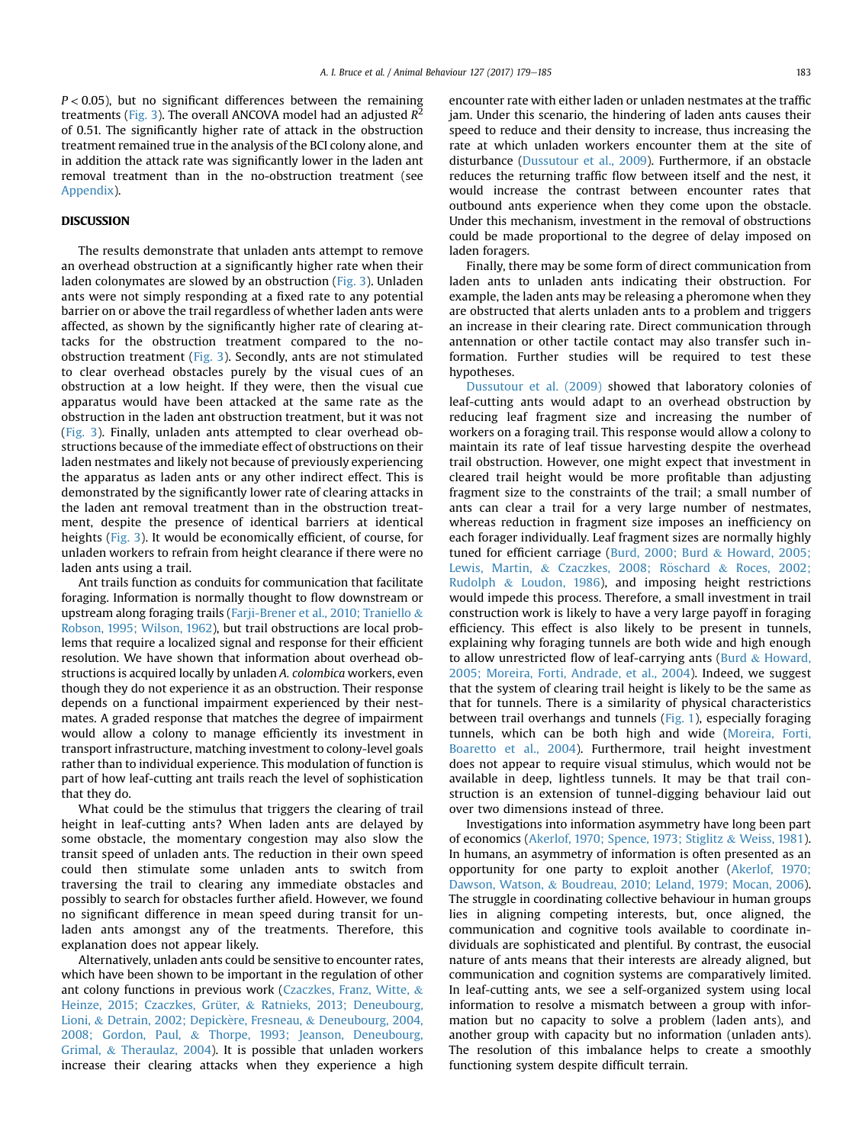$P < 0.05$ ), but no significant differences between the remaining treatments [\(Fig. 3](#page-3-0)). The overall ANCOVA model had an adjusted  $R^2$ of 0.51. The significantly higher rate of attack in the obstruction treatment remained true in the analysis of the BCI colony alone, and in addition the attack rate was significantly lower in the laden ant removal treatment than in the no-obstruction treatment (see [Appendix\)](#page-5-0).

# DISCUSSION

The results demonstrate that unladen ants attempt to remove an overhead obstruction at a significantly higher rate when their laden colonymates are slowed by an obstruction ([Fig. 3](#page-3-0)). Unladen ants were not simply responding at a fixed rate to any potential barrier on or above the trail regardless of whether laden ants were affected, as shown by the significantly higher rate of clearing attacks for the obstruction treatment compared to the noobstruction treatment [\(Fig. 3](#page-3-0)). Secondly, ants are not stimulated to clear overhead obstacles purely by the visual cues of an obstruction at a low height. If they were, then the visual cue apparatus would have been attacked at the same rate as the obstruction in the laden ant obstruction treatment, but it was not ([Fig. 3\)](#page-3-0). Finally, unladen ants attempted to clear overhead obstructions because of the immediate effect of obstructions on their laden nestmates and likely not because of previously experiencing the apparatus as laden ants or any other indirect effect. This is demonstrated by the significantly lower rate of clearing attacks in the laden ant removal treatment than in the obstruction treatment, despite the presence of identical barriers at identical heights ([Fig. 3\)](#page-3-0). It would be economically efficient, of course, for unladen workers to refrain from height clearance if there were no laden ants using a trail.

Ant trails function as conduits for communication that facilitate foraging. Information is normally thought to flow downstream or upstream along foraging trails [\(Farji-Brener et al., 2010; Traniello](#page-5-0) & [Robson, 1995; Wilson, 1962](#page-5-0)), but trail obstructions are local problems that require a localized signal and response for their efficient resolution. We have shown that information about overhead obstructions is acquired locally by unladen A. colombica workers, even though they do not experience it as an obstruction. Their response depends on a functional impairment experienced by their nestmates. A graded response that matches the degree of impairment would allow a colony to manage efficiently its investment in transport infrastructure, matching investment to colony-level goals rather than to individual experience. This modulation of function is part of how leaf-cutting ant trails reach the level of sophistication that they do.

What could be the stimulus that triggers the clearing of trail height in leaf-cutting ants? When laden ants are delayed by some obstacle, the momentary congestion may also slow the transit speed of unladen ants. The reduction in their own speed could then stimulate some unladen ants to switch from traversing the trail to clearing any immediate obstacles and possibly to search for obstacles further afield. However, we found no significant difference in mean speed during transit for unladen ants amongst any of the treatments. Therefore, this explanation does not appear likely.

Alternatively, unladen ants could be sensitive to encounter rates, which have been shown to be important in the regulation of other ant colony functions in previous work [\(Czaczkes, Franz, Witte,](#page-5-0) & [Heinze, 2015; Czaczkes, Grüter,](#page-5-0) & [Ratnieks, 2013; Deneubourg,](#page-5-0) [Lioni,](#page-5-0) & Detrain, 2002; Depickère, Fresneau, & [Deneubourg, 2004,](#page-5-0) [2008; Gordon, Paul,](#page-5-0) & [Thorpe, 1993; Jeanson, Deneubourg,](#page-5-0) [Grimal,](#page-5-0) & [Theraulaz, 2004](#page-5-0)). It is possible that unladen workers increase their clearing attacks when they experience a high encounter rate with either laden or unladen nestmates at the traffic jam. Under this scenario, the hindering of laden ants causes their speed to reduce and their density to increase, thus increasing the rate at which unladen workers encounter them at the site of disturbance [\(Dussutour et al., 2009\)](#page-5-0). Furthermore, if an obstacle reduces the returning traffic flow between itself and the nest, it would increase the contrast between encounter rates that outbound ants experience when they come upon the obstacle. Under this mechanism, investment in the removal of obstructions could be made proportional to the degree of delay imposed on laden foragers.

Finally, there may be some form of direct communication from laden ants to unladen ants indicating their obstruction. For example, the laden ants may be releasing a pheromone when they are obstructed that alerts unladen ants to a problem and triggers an increase in their clearing rate. Direct communication through antennation or other tactile contact may also transfer such information. Further studies will be required to test these hypotheses.

[Dussutour et al. \(2009\)](#page-5-0) showed that laboratory colonies of leaf-cutting ants would adapt to an overhead obstruction by reducing leaf fragment size and increasing the number of workers on a foraging trail. This response would allow a colony to maintain its rate of leaf tissue harvesting despite the overhead trail obstruction. However, one might expect that investment in cleared trail height would be more profitable than adjusting fragment size to the constraints of the trail; a small number of ants can clear a trail for a very large number of nestmates, whereas reduction in fragment size imposes an inefficiency on each forager individually. Leaf fragment sizes are normally highly tuned for efficient carriage [\(Burd, 2000; Burd](#page-5-0) & [Howard, 2005;](#page-5-0) [Lewis, Martin,](#page-5-0) & Czaczkes, 2008; Röschard & [Roces, 2002;](#page-5-0) [Rudolph](#page-5-0) & [Loudon, 1986](#page-5-0)), and imposing height restrictions would impede this process. Therefore, a small investment in trail construction work is likely to have a very large payoff in foraging efficiency. This effect is also likely to be present in tunnels, explaining why foraging tunnels are both wide and high enough to allow unrestricted flow of leaf-carrying ants ([Burd](#page-5-0)  $\&$  [Howard,](#page-5-0) [2005; Moreira, Forti, Andrade, et al., 2004\)](#page-5-0). Indeed, we suggest that the system of clearing trail height is likely to be the same as that for tunnels. There is a similarity of physical characteristics between trail overhangs and tunnels [\(Fig. 1\)](#page-1-0), especially foraging tunnels, which can be both high and wide ([Moreira, Forti,](#page-5-0) [Boaretto et al., 2004\)](#page-5-0). Furthermore, trail height investment does not appear to require visual stimulus, which would not be available in deep, lightless tunnels. It may be that trail construction is an extension of tunnel-digging behaviour laid out over two dimensions instead of three.

Investigations into information asymmetry have long been part of economics ([Akerlof, 1970; Spence, 1973; Stiglitz](#page-5-0) & [Weiss, 1981\)](#page-5-0). In humans, an asymmetry of information is often presented as an opportunity for one party to exploit another [\(Akerlof, 1970;](#page-5-0) [Dawson, Watson,](#page-5-0) & [Boudreau, 2010; Leland, 1979; Mocan, 2006\)](#page-5-0). The struggle in coordinating collective behaviour in human groups lies in aligning competing interests, but, once aligned, the communication and cognitive tools available to coordinate individuals are sophisticated and plentiful. By contrast, the eusocial nature of ants means that their interests are already aligned, but communication and cognition systems are comparatively limited. In leaf-cutting ants, we see a self-organized system using local information to resolve a mismatch between a group with information but no capacity to solve a problem (laden ants), and another group with capacity but no information (unladen ants). The resolution of this imbalance helps to create a smoothly functioning system despite difficult terrain.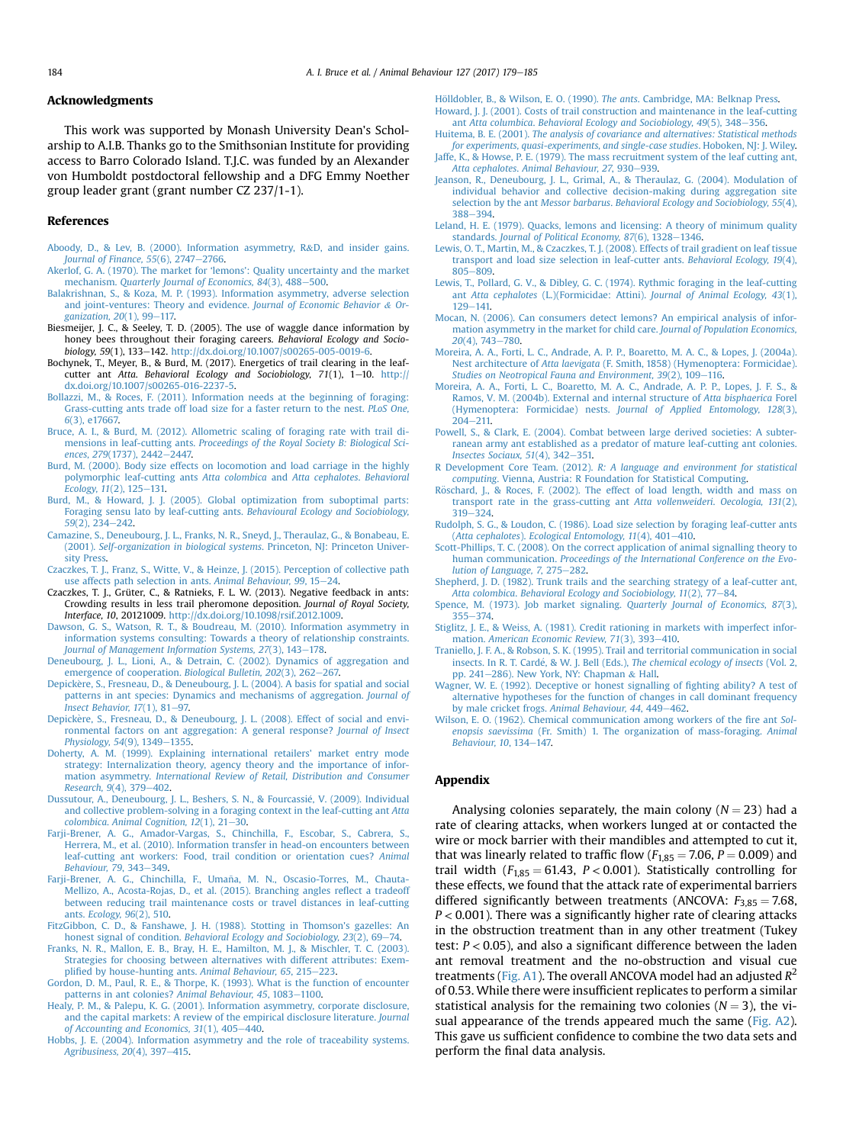#### <span id="page-5-0"></span>Acknowledgments

This work was supported by Monash University Dean's Scholarship to A.I.B. Thanks go to the Smithsonian Institute for providing access to Barro Colorado Island. T.J.C. was funded by an Alexander von Humboldt postdoctoral fellowship and a DFG Emmy Noether group leader grant (grant number CZ 237/1-1).

## References

- [Aboody, D., & Lev, B. \(2000\). Information asymmetry, R](http://refhub.elsevier.com/S0003-3472(17)30090-8/sref1)&[D, and insider gains.](http://refhub.elsevier.com/S0003-3472(17)30090-8/sref1) Journal of Finance,  $55(6)$ ,  $2747-2766$  $2747-2766$ .
- Akerlof, G. A. (1970). The market for 'lemons'[: Quality uncertainty and the market](http://refhub.elsevier.com/S0003-3472(17)30090-8/sref2) mechanism. [Quarterly Journal of Economics, 84](http://refhub.elsevier.com/S0003-3472(17)30090-8/sref2)(3), 488-[500](http://refhub.elsevier.com/S0003-3472(17)30090-8/sref2).
- [Balakrishnan, S., & Koza, M. P. \(1993\). Information asymmetry, adverse selection](http://refhub.elsevier.com/S0003-3472(17)30090-8/sref3) [and joint-ventures: Theory and evidence.](http://refhub.elsevier.com/S0003-3472(17)30090-8/sref3) Journal of Economic Behavior & [Or](http://refhub.elsevier.com/S0003-3472(17)30090-8/sref3)ganization,  $20(1)$ ,  $99-117$ .
- Biesmeijer, J. C., & Seeley, T. D. (2005). The use of waggle dance information by honey bees throughout their foraging careers. Behavioral Ecology and Sociobiology, 59(1), 133-142. [http://dx.doi.org/10.1007/s00265-005-0019-6.](http://dx.doi.org/10.1007/s00265-005-0019-6)
- Bochynek, T., Meyer, B., & Burd, M. (2017). Energetics of trail clearing in the leafcutter ant Atta. Behavioral Ecology and Sociobiology, 71(1), 1-10. [http://](http://dx.doi.org/10.1007/s00265-016-2237-5) [dx.doi.org/10.1007/s00265-016-2237-5](http://dx.doi.org/10.1007/s00265-016-2237-5).
- [Bollazzi, M., & Roces, F. \(2011\). Information needs at the beginning of foraging:](http://refhub.elsevier.com/S0003-3472(17)30090-8/sref6) [Grass-cutting ants trade off load size for a faster return to the nest.](http://refhub.elsevier.com/S0003-3472(17)30090-8/sref6) PLoS One, 6[\(3\), e17667.](http://refhub.elsevier.com/S0003-3472(17)30090-8/sref6)
- [Bruce, A. I., & Burd, M. \(2012\). Allometric scaling of foraging rate with trail di](http://refhub.elsevier.com/S0003-3472(17)30090-8/sref7)mensions in leaf-cutting ants. [Proceedings of the Royal Society B: Biological Sci-](http://refhub.elsevier.com/S0003-3472(17)30090-8/sref7)ences, 279[\(1737\), 2442](http://refhub.elsevier.com/S0003-3472(17)30090-8/sref7)-[2447.](http://refhub.elsevier.com/S0003-3472(17)30090-8/sref7)
- [Burd, M. \(2000\). Body size effects on locomotion and load carriage in the highly](http://refhub.elsevier.com/S0003-3472(17)30090-8/sref8) [polymorphic leaf-cutting ants](http://refhub.elsevier.com/S0003-3472(17)30090-8/sref8) Atta colombica and Atta cephalotes. Behavioral Ecology,  $11(2)$ ,  $125-131$ .
- [Burd, M., & Howard, J. J. \(2005\). Global optimization from suboptimal parts:](http://refhub.elsevier.com/S0003-3472(17)30090-8/sref9) [Foraging sensu lato by leaf-cutting ants.](http://refhub.elsevier.com/S0003-3472(17)30090-8/sref9) Behavioural Ecology and Sociobiology, 59[\(2\), 234](http://refhub.elsevier.com/S0003-3472(17)30090-8/sref9)-[242](http://refhub.elsevier.com/S0003-3472(17)30090-8/sref9).
- [Camazine, S., Deneubourg, J. L., Franks, N. R., Sneyd, J., Theraulaz, G., & Bonabeau, E.](http://refhub.elsevier.com/S0003-3472(17)30090-8/sref10) (2001). [Self-organization in biological systems](http://refhub.elsevier.com/S0003-3472(17)30090-8/sref10). Princeton, NJ: Princeton Univer[sity Press](http://refhub.elsevier.com/S0003-3472(17)30090-8/sref10).
- [Czaczkes, T. J., Franz, S., Witte, V., & Heinze, J. \(2015\). Perception of collective path](http://refhub.elsevier.com/S0003-3472(17)30090-8/sref11) [use affects path selection in ants.](http://refhub.elsevier.com/S0003-3472(17)30090-8/sref11) Animal Behaviour, 99, 15-[24](http://refhub.elsevier.com/S0003-3472(17)30090-8/sref11).
- Czaczkes, T. J., Grüter, C., & Ratnieks, F. L. W. (2013). Negative feedback in ants: Crowding results in less trail pheromone deposition. Journal of Royal Society, Interface, 10, 20121009. <http://dx.doi.org/10.1098/rsif.2012.1009>.
- [Dawson, G. S., Watson, R. T., & Boudreau, M. \(2010\). Information asymmetry in](http://refhub.elsevier.com/S0003-3472(17)30090-8/sref13) [information systems consulting: Towards a theory of relationship constraints.](http://refhub.elsevier.com/S0003-3472(17)30090-8/sref13) [Journal of Management Information Systems, 27](http://refhub.elsevier.com/S0003-3472(17)30090-8/sref13)(3), 143-[178.](http://refhub.elsevier.com/S0003-3472(17)30090-8/sref13)
- [Deneubourg, J. L., Lioni, A., & Detrain, C. \(2002\). Dynamics of aggregation and](http://refhub.elsevier.com/S0003-3472(17)30090-8/sref14) [emergence of cooperation.](http://refhub.elsevier.com/S0003-3472(17)30090-8/sref14) Biological Bulletin,  $202(3)$ ,  $262-267$ .
- Depickère, S., Fresneau, D., & Deneubourg, J. L. (2004). A basis for spatial and social [patterns in ant species: Dynamics and mechanisms of aggregation.](http://refhub.elsevier.com/S0003-3472(17)30090-8/sref15) Journal of Insect Behavior,  $17(1)$ ,  $81-97$ .
- [Depickere, S., Fresneau, D., & Deneubourg, J. L. \(2008\). Effect of social and envi](http://refhub.elsevier.com/S0003-3472(17)30090-8/sref16) [ronmental factors on ant aggregation: A general response?](http://refhub.elsevier.com/S0003-3472(17)30090-8/sref16) Journal of Insect [Physiology, 54](http://refhub.elsevier.com/S0003-3472(17)30090-8/sref16)(9), 1349-[1355](http://refhub.elsevier.com/S0003-3472(17)30090-8/sref16).
- [Doherty, A. M. \(1999\). Explaining international retailers' market entry mode](http://refhub.elsevier.com/S0003-3472(17)30090-8/sref17) [strategy: Internalization theory, agency theory and the importance of infor](http://refhub.elsevier.com/S0003-3472(17)30090-8/sref17)mation asymmetry. [International Review of Retail, Distribution and Consumer](http://refhub.elsevier.com/S0003-3472(17)30090-8/sref17) [Research, 9](http://refhub.elsevier.com/S0003-3472(17)30090-8/sref17)(4), 379-[402.](http://refhub.elsevier.com/S0003-3472(17)30090-8/sref17)
- [Dussutour, A., Deneubourg, J. L., Beshers, S. N., & Fourcassi](http://refhub.elsevier.com/S0003-3472(17)30090-8/sref18)é[, V. \(2009\). Individual](http://refhub.elsevier.com/S0003-3472(17)30090-8/sref18) [and collective problem-solving in a foraging context in the leaf-cutting ant](http://refhub.elsevier.com/S0003-3472(17)30090-8/sref18) Atta  $colombica$ . [Animal Cognition, 12](http://refhub.elsevier.com/S0003-3472(17)30090-8/sref18)(1), 21-[30.](http://refhub.elsevier.com/S0003-3472(17)30090-8/sref18)
- [Farji-Brener, A. G., Amador-Vargas, S., Chinchilla, F., Escobar, S., Cabrera, S.,](http://refhub.elsevier.com/S0003-3472(17)30090-8/sref19) [Herrera, M., et al. \(2010\). Information transfer in head-on encounters between](http://refhub.elsevier.com/S0003-3472(17)30090-8/sref19) [leaf-cutting ant workers: Food, trail condition or orientation cues?](http://refhub.elsevier.com/S0003-3472(17)30090-8/sref19) Animal [Behaviour, 79](http://refhub.elsevier.com/S0003-3472(17)30090-8/sref19), 343-[349](http://refhub.elsevier.com/S0003-3472(17)30090-8/sref19).
- Farji-Brener, A. G., Chinchilla, F., Umaña, M. N., Oscasio-Torres, M., Chauta-[Mellizo, A., Acosta-Rojas, D., et al. \(2015\). Branching angles re](http://refhub.elsevier.com/S0003-3472(17)30090-8/sref20)flect a tradeoff [between reducing trail maintenance costs or travel distances in leaf-cutting](http://refhub.elsevier.com/S0003-3472(17)30090-8/sref20) ants. [Ecology, 96](http://refhub.elsevier.com/S0003-3472(17)30090-8/sref20)(2), 510.
- [FitzGibbon, C. D., & Fanshawe, J. H. \(1988\). Stotting in Thomson's gazelles: An](http://refhub.elsevier.com/S0003-3472(17)30090-8/sref21) honest signal of condition. [Behavioral Ecology and Sociobiology, 23](http://refhub.elsevier.com/S0003-3472(17)30090-8/sref21)(2), 69-[74](http://refhub.elsevier.com/S0003-3472(17)30090-8/sref21).
- [Franks, N. R., Mallon, E. B., Bray, H. E., Hamilton, M. J., & Mischler, T. C. \(2003\).](http://refhub.elsevier.com/S0003-3472(17)30090-8/sref22) [Strategies for choosing between alternatives with different attributes: Exem](http://refhub.elsevier.com/S0003-3472(17)30090-8/sref22)plifi[ed by house-hunting ants.](http://refhub.elsevier.com/S0003-3472(17)30090-8/sref22) Animal Behaviour, 65, 215-223
- [Gordon, D. M., Paul, R. E., & Thorpe, K. \(1993\). What is the function of encounter](http://refhub.elsevier.com/S0003-3472(17)30090-8/sref23) [patterns in ant colonies?](http://refhub.elsevier.com/S0003-3472(17)30090-8/sref23) Animal Behaviour, 45, 1083-[1100.](http://refhub.elsevier.com/S0003-3472(17)30090-8/sref23)
- [Healy, P. M., & Palepu, K. G. \(2001\). Information asymmetry, corporate disclosure,](http://refhub.elsevier.com/S0003-3472(17)30090-8/sref24) [and the capital markets: A review of the empirical disclosure literature.](http://refhub.elsevier.com/S0003-3472(17)30090-8/sref24) Journal of Accounting and Economics,  $31(1)$ ,  $405-440$ .
- [Hobbs, J. E. \(2004\). Information asymmetry and the role of traceability systems.](http://refhub.elsevier.com/S0003-3472(17)30090-8/sref25) [Agribusiness, 20](http://refhub.elsevier.com/S0003-3472(17)30090-8/sref25)(4), 397-[415.](http://refhub.elsevier.com/S0003-3472(17)30090-8/sref25)

Hölldobler, B., & Wilson, E. O. (1990). The ants. Cambridge, MA: Belknap Press. [Howard, J. J. \(2001\). Costs of trail construction and maintenance in the leaf-cutting](http://refhub.elsevier.com/S0003-3472(17)30090-8/sref27) ant Atta columbica. [Behavioral Ecology and Sociobiology, 49](http://refhub.elsevier.com/S0003-3472(17)30090-8/sref27)(5), 348-[356.](http://refhub.elsevier.com/S0003-3472(17)30090-8/sref27)

- Huitema, B. E. (2001). [The analysis of covariance and alternatives: Statistical methods](http://refhub.elsevier.com/S0003-3472(17)30090-8/sref28) [for experiments, quasi-experiments, and single-case studies](http://refhub.elsevier.com/S0003-3472(17)30090-8/sref28). Hoboken, NJ: J. Wiley. [Jaffe, K., & Howse, P. E. \(1979\). The mass recruitment system of the leaf cutting ant,](http://refhub.elsevier.com/S0003-3472(17)30090-8/sref29)
- Atta cephalotes. [Animal Behaviour, 27](http://refhub.elsevier.com/S0003-3472(17)30090-8/sref29), 930-[939.](http://refhub.elsevier.com/S0003-3472(17)30090-8/sref29) [Jeanson, R., Deneubourg, J. L., Grimal, A., & Theraulaz, G. \(2004\). Modulation of](http://refhub.elsevier.com/S0003-3472(17)30090-8/sref30) [individual behavior and collective decision-making during aggregation site](http://refhub.elsevier.com/S0003-3472(17)30090-8/sref30) selection by the ant Messor barbarus. [Behavioral Ecology and Sociobiology, 55](http://refhub.elsevier.com/S0003-3472(17)30090-8/sref30)(4), [388](http://refhub.elsevier.com/S0003-3472(17)30090-8/sref30)e[394.](http://refhub.elsevier.com/S0003-3472(17)30090-8/sref30)
- [Leland, H. E. \(1979\). Quacks, lemons and licensing: A theory of minimum quality](http://refhub.elsevier.com/S0003-3472(17)30090-8/sref31) standards. [Journal of Political Economy, 87](http://refhub.elsevier.com/S0003-3472(17)30090-8/sref31)(6), 1328-[1346](http://refhub.elsevier.com/S0003-3472(17)30090-8/sref31).
- [Lewis, O. T., Martin, M., & Czaczkes, T. J. \(2008\). Effects of trail gradient on leaf tissue](http://refhub.elsevier.com/S0003-3472(17)30090-8/sref32) [transport and load size selection in leaf-cutter ants.](http://refhub.elsevier.com/S0003-3472(17)30090-8/sref32) Behavioral Ecology, 19(4), [805](http://refhub.elsevier.com/S0003-3472(17)30090-8/sref32)-[809.](http://refhub.elsevier.com/S0003-3472(17)30090-8/sref32)
- [Lewis, T., Pollard, G. V., & Dibley, G. C. \(1974\). Rythmic foraging in the leaf-cutting](http://refhub.elsevier.com/S0003-3472(17)30090-8/sref33) ant Atta cephalotes (L.)(Formicidae: Attini). [Journal of Animal Ecology, 43](http://refhub.elsevier.com/S0003-3472(17)30090-8/sref33)(1),  $129 - 141$  $129 - 141$
- [Mocan, N. \(2006\). Can consumers detect lemons? An empirical analysis of infor](http://refhub.elsevier.com/S0003-3472(17)30090-8/sref34)[mation asymmetry in the market for child care.](http://refhub.elsevier.com/S0003-3472(17)30090-8/sref34) Journal of Population Economics, 20[\(4\), 743](http://refhub.elsevier.com/S0003-3472(17)30090-8/sref34)-[780.](http://refhub.elsevier.com/S0003-3472(17)30090-8/sref34)
- [Moreira, A. A., Forti, L. C., Andrade, A. P. P., Boaretto, M. A. C., & Lopes, J. \(2004a\).](http://refhub.elsevier.com/S0003-3472(17)30090-8/sref35) Nest architecture of Atta laevigata [\(F. Smith, 1858\) \(Hymenoptera: Formicidae\).](http://refhub.elsevier.com/S0003-3472(17)30090-8/sref35) [Studies on Neotropical Fauna and Environment, 39](http://refhub.elsevier.com/S0003-3472(17)30090-8/sref35)(2), 109-[116.](http://refhub.elsevier.com/S0003-3472(17)30090-8/sref35)
- [Moreira, A. A., Forti, L. C., Boaretto, M. A. C., Andrade, A. P. P., Lopes, J. F. S., &](http://refhub.elsevier.com/S0003-3472(17)30090-8/sref36) [Ramos, V. M. \(2004b\). External and internal structure of](http://refhub.elsevier.com/S0003-3472(17)30090-8/sref36) Atta bisphaerica Forel (Hymenoptera: Formicidae) nests. [Journal of Applied Entomology, 128](http://refhub.elsevier.com/S0003-3472(17)30090-8/sref36)(3),  $204 - 211$  $204 - 211$
- [Powell, S., & Clark, E. \(2004\). Combat between large derived societies: A subter](http://refhub.elsevier.com/S0003-3472(17)30090-8/sref37)[ranean army ant established as a predator of mature leaf-cutting ant colonies.](http://refhub.elsevier.com/S0003-3472(17)30090-8/sref37) Insectes Sociaux,  $51(4)$ ,  $342-351$ .
- R Development Core Team. (2012). [R: A language and environment for statistical](http://refhub.elsevier.com/S0003-3472(17)30090-8/sref38) computing[. Vienna, Austria: R Foundation for Statistical Computing.](http://refhub.elsevier.com/S0003-3472(17)30090-8/sref38)
- Röschard, J., & Roces, F. (2002). The effect of load length, width and mass on [transport rate in the grass-cutting ant](http://refhub.elsevier.com/S0003-3472(17)30090-8/sref39) Atta vollenweideri. Oecologia, 131(2),  $319 - 324$  $319 - 324$ .
- [Rudolph, S. G., & Loudon, C. \(1986\). Load size selection by foraging leaf-cutter ants](http://refhub.elsevier.com/S0003-3472(17)30090-8/sref40) (Atta cephalotes). Ecological Entomology,  $11(4)$ ,  $401-410$ .
- [Scott-Phillips, T. C. \(2008\). On the correct application of animal signalling theory to](http://refhub.elsevier.com/S0003-3472(17)30090-8/sref41) human communication. [Proceedings of the International Conference on the Evo](http://refhub.elsevier.com/S0003-3472(17)30090-8/sref41)[lution of Language, 7](http://refhub.elsevier.com/S0003-3472(17)30090-8/sref41), 275-[282](http://refhub.elsevier.com/S0003-3472(17)30090-8/sref41).
- [Shepherd, J. D. \(1982\). Trunk trails and the searching strategy of a leaf-cutter ant,](http://refhub.elsevier.com/S0003-3472(17)30090-8/sref42) Atta colombica. [Behavioral Ecology and Sociobiology, 11](http://refhub.elsevier.com/S0003-3472(17)30090-8/sref42)(2), 77-[84.](http://refhub.elsevier.com/S0003-3472(17)30090-8/sref42)
- [Spence, M. \(1973\). Job market signaling.](http://refhub.elsevier.com/S0003-3472(17)30090-8/sref43) Quarterly Journal of Economics, 87(3), [355](http://refhub.elsevier.com/S0003-3472(17)30090-8/sref43)e[374.](http://refhub.elsevier.com/S0003-3472(17)30090-8/sref43)
- [Stiglitz, J. E., & Weiss, A. \(1981\). Credit rationing in markets with imperfect infor-](http://refhub.elsevier.com/S0003-3472(17)30090-8/sref44)mation. [American Economic Review, 71](http://refhub.elsevier.com/S0003-3472(17)30090-8/sref44)(3), 393-[410.](http://refhub.elsevier.com/S0003-3472(17)30090-8/sref44)
- [Traniello, J. F. A., & Robson, S. K. \(1995\). Trail and territorial communication in social](http://refhub.elsevier.com/S0003-3472(17)30090-8/sref45) insects. In R. T. Cardé, & W. J. Bell (Eds.), [The chemical ecology of insects](http://refhub.elsevier.com/S0003-3472(17)30090-8/sref45) (Vol. 2, [pp. 241](http://refhub.elsevier.com/S0003-3472(17)30090-8/sref45)-[286\). New York, NY: Chapman](http://refhub.elsevier.com/S0003-3472(17)30090-8/sref45) & [Hall](http://refhub.elsevier.com/S0003-3472(17)30090-8/sref45).
- [Wagner, W. E. \(1992\). Deceptive or honest signalling of](http://refhub.elsevier.com/S0003-3472(17)30090-8/sref46) fighting ability? A test of [alternative hypotheses for the function of changes in call dominant frequency](http://refhub.elsevier.com/S0003-3472(17)30090-8/sref46) [by male cricket frogs.](http://refhub.elsevier.com/S0003-3472(17)30090-8/sref46) Animal Behaviour, 44, 449-[462](http://refhub.elsevier.com/S0003-3472(17)30090-8/sref46).
- [Wilson, E. O. \(1962\). Chemical communication among workers of the](http://refhub.elsevier.com/S0003-3472(17)30090-8/sref47) fire ant Solenopsis saevissima [\(Fr. Smith\) 1. The organization of mass-foraging.](http://refhub.elsevier.com/S0003-3472(17)30090-8/sref47) Animal [Behaviour, 10](http://refhub.elsevier.com/S0003-3472(17)30090-8/sref47), 134-[147.](http://refhub.elsevier.com/S0003-3472(17)30090-8/sref47)

### Appendix

Analysing colonies separately, the main colony ( $N = 23$ ) had a rate of clearing attacks, when workers lunged at or contacted the wire or mock barrier with their mandibles and attempted to cut it, that was linearly related to traffic flow ( $F_{1,85} = 7.06$ ,  $P = 0.009$ ) and trail width  $(F_{1,85} = 61.43, P < 0.001)$ . Statistically controlling for these effects, we found that the attack rate of experimental barriers differed significantly between treatments (ANCOVA:  $F_{3,85} = 7.68$ ,  $P < 0.001$ ). There was a significantly higher rate of clearing attacks in the obstruction treatment than in any other treatment (Tukey test:  $P < 0.05$ ), and also a significant difference between the laden ant removal treatment and the no-obstruction and visual cue treatments (Fig. A1). The overall ANCOVA model had an adjusted  $R^2$ of 0.53. While there were insufficient replicates to perform a similar statistical analysis for the remaining two colonies ( $N = 3$ ), the visual appearance of the trends appeared much the same (Fig. A2). This gave us sufficient confidence to combine the two data sets and perform the final data analysis.